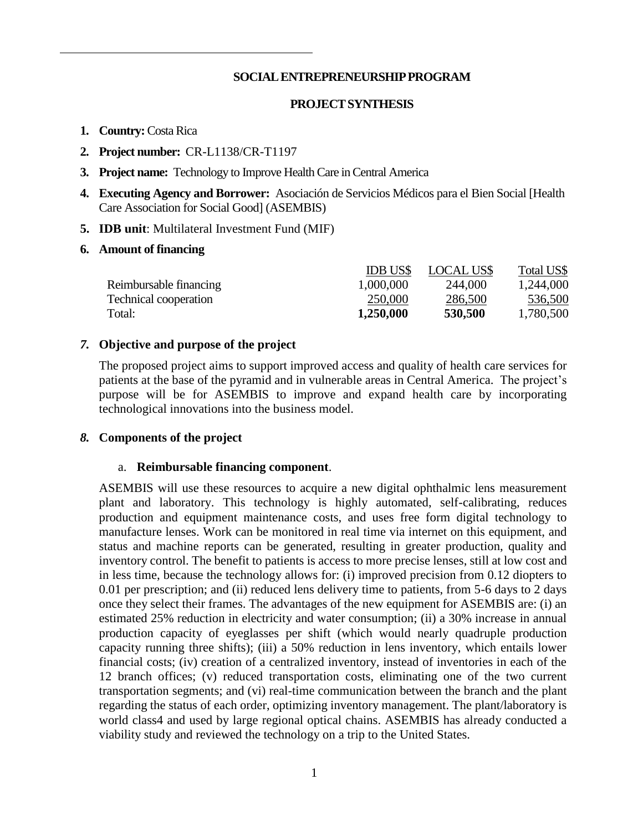#### **SOCIAL ENTREPRENEURSHIP PROGRAM**

# **PROJECTSYNTHESIS**

- **1. Country:** Costa Rica
- **2. Project number:** CR-L1138/CR-T1197
- **3. Project name:** Technology to Improve Health Care in Central America
- **4. Executing Agency and Borrower:** Asociación de Servicios Médicos para el Bien Social [Health Care Association for Social Good] (ASEMBIS)
- **5. IDB unit**: Multilateral Investment Fund (MIF)
- **6. Amount of financing**

|                              | <b>IDB USS</b> | <b>LOCAL US\$</b> | Total US\$ |
|------------------------------|----------------|-------------------|------------|
| Reimbursable financing       | 1,000,000      | 244,000           | 1,244,000  |
| <b>Technical cooperation</b> | 250,000        | 286,500           | 536,500    |
| Total:                       | 1,250,000      | 530,500           | 1,780,500  |

# *7.* **Objective and purpose of the project**

The proposed project aims to support improved access and quality of health care services for patients at the base of the pyramid and in vulnerable areas in Central America. The project's purpose will be for ASEMBIS to improve and expand health care by incorporating technological innovations into the business model.

# *8.* **Components of the project**

#### a. **Reimbursable financing component**.

ASEMBIS will use these resources to acquire a new digital ophthalmic lens measurement plant and laboratory. This technology is highly automated, self-calibrating, reduces production and equipment maintenance costs, and uses free form digital technology to manufacture lenses. Work can be monitored in real time via internet on this equipment, and status and machine reports can be generated, resulting in greater production, quality and inventory control. The benefit to patients is access to more precise lenses, still at low cost and in less time, because the technology allows for: (i) improved precision from 0.12 diopters to 0.01 per prescription; and (ii) reduced lens delivery time to patients, from 5-6 days to 2 days once they select their frames. The advantages of the new equipment for ASEMBIS are: (i) an estimated 25% reduction in electricity and water consumption; (ii) a 30% increase in annual production capacity of eyeglasses per shift (which would nearly quadruple production capacity running three shifts); (iii) a 50% reduction in lens inventory, which entails lower financial costs; (iv) creation of a centralized inventory, instead of inventories in each of the 12 branch offices; (v) reduced transportation costs, eliminating one of the two current transportation segments; and (vi) real-time communication between the branch and the plant regarding the status of each order, optimizing inventory management. The plant/laboratory is world class4 and used by large regional optical chains. ASEMBIS has already conducted a viability study and reviewed the technology on a trip to the United States.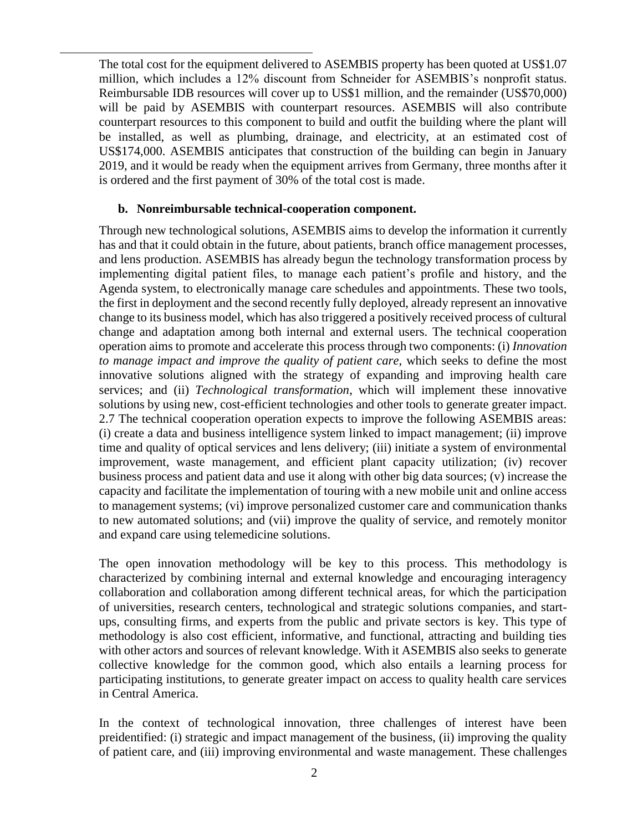The total cost for the equipment delivered to ASEMBIS property has been quoted at US\$1.07 million, which includes a 12% discount from Schneider for ASEMBIS's nonprofit status. Reimbursable IDB resources will cover up to US\$1 million, and the remainder (US\$70,000) will be paid by ASEMBIS with counterpart resources. ASEMBIS will also contribute counterpart resources to this component to build and outfit the building where the plant will be installed, as well as plumbing, drainage, and electricity, at an estimated cost of US\$174,000. ASEMBIS anticipates that construction of the building can begin in January 2019, and it would be ready when the equipment arrives from Germany, three months after it is ordered and the first payment of 30% of the total cost is made.

### **b. Nonreimbursable technical-cooperation component.**

Through new technological solutions, ASEMBIS aims to develop the information it currently has and that it could obtain in the future, about patients, branch office management processes, and lens production. ASEMBIS has already begun the technology transformation process by implementing digital patient files, to manage each patient's profile and history, and the Agenda system, to electronically manage care schedules and appointments. These two tools, the first in deployment and the second recently fully deployed, already represent an innovative change to its business model, which has also triggered a positively received process of cultural change and adaptation among both internal and external users. The technical cooperation operation aims to promote and accelerate this process through two components: (i) *Innovation to manage impact and improve the quality of patient care, which seeks to define the most* innovative solutions aligned with the strategy of expanding and improving health care services; and (ii) *Technological transformation*, which will implement these innovative solutions by using new, cost-efficient technologies and other tools to generate greater impact. 2.7 The technical cooperation operation expects to improve the following ASEMBIS areas: (i) create a data and business intelligence system linked to impact management; (ii) improve time and quality of optical services and lens delivery; (iii) initiate a system of environmental improvement, waste management, and efficient plant capacity utilization; (iv) recover business process and patient data and use it along with other big data sources; (v) increase the capacity and facilitate the implementation of touring with a new mobile unit and online access to management systems; (vi) improve personalized customer care and communication thanks to new automated solutions; and (vii) improve the quality of service, and remotely monitor and expand care using telemedicine solutions.

The open innovation methodology will be key to this process. This methodology is characterized by combining internal and external knowledge and encouraging interagency collaboration and collaboration among different technical areas, for which the participation of universities, research centers, technological and strategic solutions companies, and startups, consulting firms, and experts from the public and private sectors is key. This type of methodology is also cost efficient, informative, and functional, attracting and building ties with other actors and sources of relevant knowledge. With it ASEMBIS also seeks to generate collective knowledge for the common good, which also entails a learning process for participating institutions, to generate greater impact on access to quality health care services in Central America.

In the context of technological innovation, three challenges of interest have been preidentified: (i) strategic and impact management of the business, (ii) improving the quality of patient care, and (iii) improving environmental and waste management. These challenges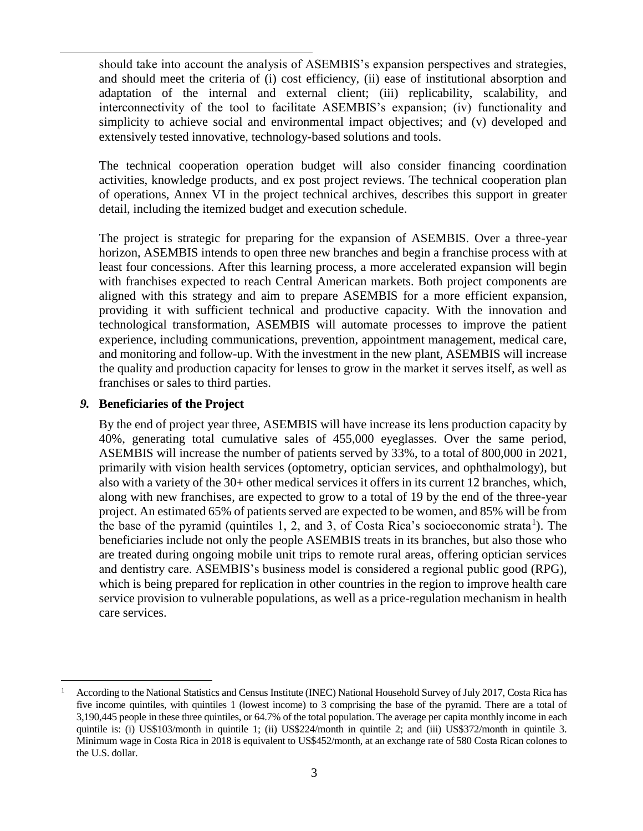should take into account the analysis of ASEMBIS's expansion perspectives and strategies, and should meet the criteria of (i) cost efficiency, (ii) ease of institutional absorption and adaptation of the internal and external client; (iii) replicability, scalability, and interconnectivity of the tool to facilitate ASEMBIS's expansion; (iv) functionality and simplicity to achieve social and environmental impact objectives; and (v) developed and extensively tested innovative, technology-based solutions and tools.

The technical cooperation operation budget will also consider financing coordination activities, knowledge products, and ex post project reviews. The technical cooperation plan of operations, Annex VI in the project technical archives, describes this support in greater detail, including the itemized budget and execution schedule.

The project is strategic for preparing for the expansion of ASEMBIS. Over a three-year horizon, ASEMBIS intends to open three new branches and begin a franchise process with at least four concessions. After this learning process, a more accelerated expansion will begin with franchises expected to reach Central American markets. Both project components are aligned with this strategy and aim to prepare ASEMBIS for a more efficient expansion, providing it with sufficient technical and productive capacity. With the innovation and technological transformation, ASEMBIS will automate processes to improve the patient experience, including communications, prevention, appointment management, medical care, and monitoring and follow-up. With the investment in the new plant, ASEMBIS will increase the quality and production capacity for lenses to grow in the market it serves itself, as well as franchises or sales to third parties.

# *9.* **Beneficiaries of the Project**

 $\overline{a}$ 

By the end of project year three, ASEMBIS will have increase its lens production capacity by 40%, generating total cumulative sales of 455,000 eyeglasses. Over the same period, ASEMBIS will increase the number of patients served by 33%, to a total of 800,000 in 2021, primarily with vision health services (optometry, optician services, and ophthalmology), but also with a variety of the 30+ other medical services it offers in its current 12 branches, which, along with new franchises, are expected to grow to a total of 19 by the end of the three-year project. An estimated 65% of patients served are expected to be women, and 85% will be from the base of the pyramid (quintiles 1, 2, and 3, of Costa Rica's socioeconomic strata<sup>1</sup>). The beneficiaries include not only the people ASEMBIS treats in its branches, but also those who are treated during ongoing mobile unit trips to remote rural areas, offering optician services and dentistry care. ASEMBIS's business model is considered a regional public good (RPG), which is being prepared for replication in other countries in the region to improve health care service provision to vulnerable populations, as well as a price-regulation mechanism in health care services.

<sup>1</sup> According to the National Statistics and Census Institute (INEC) National Household Survey of July 2017, Costa Rica has five income quintiles, with quintiles 1 (lowest income) to 3 comprising the base of the pyramid. There are a total of 3,190,445 people in these three quintiles, or 64.7% of the total population. The average per capita monthly income in each quintile is: (i) US\$103/month in quintile 1; (ii) US\$224/month in quintile 2; and (iii) US\$372/month in quintile 3. Minimum wage in Costa Rica in 2018 is equivalent to US\$452/month, at an exchange rate of 580 Costa Rican colones to the U.S. dollar.